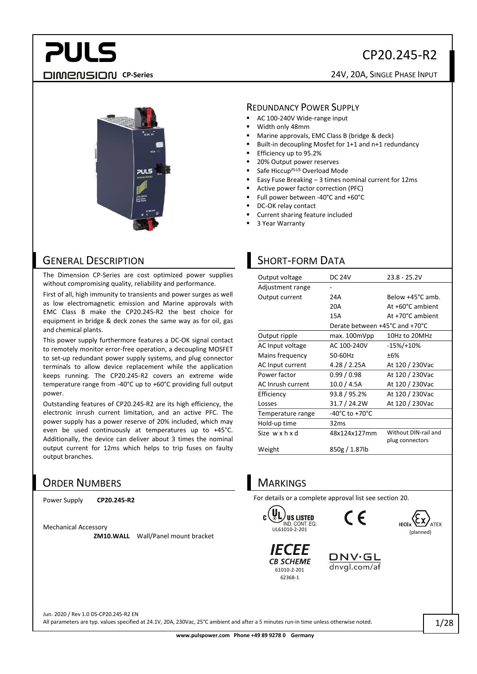### CP20.245-R2

### **PULS CP-Series** 24V, 20A, SINGLE PHASE INPUT



#### GENERAL DESCRIPTION

The Dimension CP-Series are cost optimized power supplies without compromising quality, reliability and performance.

First of all, high immunity to transients and power surges as well as low electromagnetic emission and Marine approvals with EMC Class B make the CP20.245-R2 the best choice for equipment in bridge & deck zones the same way as for oil, gas and chemical plants.

This power supply furthermore features a DC-OK signal contact to remotely monitor error-free operation, a decoupling MOSFET to set-up redundant power supply systems, and plug connector terminals to allow device replacement while the application keeps running. The CP20.245-R2 covers an extreme wide temperature range from -40°C up to +60°C providing full output power.

Outstanding features of CP20.245-R2 are its high efficiency, the electronic inrush current limitation, and an active PFC. The power supply has a power reserve of 20% included, which may even be used continuously at temperatures up to +45°C. Additionally, the device can deliver about 3 times the nominal output current for 12ms which helps to trip fuses on faulty output branches.

#### ORDER NUMBERS

Power Supply **CP20.245-R2**

Mechanical Accessory

**ZM10.WALL** Wall/Panel mount bracket

#### REDUNDANCY POWER SUPPLY

- AC 100-240V Wide-range input
- Width only 48mm
- Marine approvals, EMC Class B (bridge & deck)
- Built-in decoupling Mosfet for 1+1 and n+1 redundancy
- Efficiency up to 95.2%
- 20% Output power reserves
- Safe Hiccup<sup>PLUS</sup> Overload Mode
- Easy Fuse Breaking  $-3$  times nominal current for 12ms
- Active power factor correction (PFC)
- Full power between -40°C and +60°C
- DC-OK relay contact
- Current sharing feature included
- 3 Year Warranty

#### **SHORT-FORM DATA**

| Output voltage           | <b>DC 24V</b>                  | $23.8 - 25.2V$                          |
|--------------------------|--------------------------------|-----------------------------------------|
| Adjustment range         |                                |                                         |
| Output current           | 24A                            | Below +45°C amb.                        |
|                          | 20A                            | At +60°C ambient                        |
|                          | 15A                            | At +70°C ambient                        |
|                          | Derate between +45°C and +70°C |                                         |
| Output ripple            | max. 100mVpp                   | 10Hz to 20MHz                           |
| AC Input voltage         | AC 100-240V                    | $-15\%/+10\%$                           |
| Mains frequency          | 50-60Hz                        | ±6%                                     |
| AC Input current         | 4.28 / 2.25A                   | At 120 / 230Vac                         |
| Power factor             | 0.99/0.98                      | At 120 / 230Vac                         |
| <b>AC Inrush current</b> | 10.0 / 4.5A                    | At 120 / 230Vac                         |
| Efficiency               | 93.8 / 95.2%                   | At 120 / 230Vac                         |
| Losses                   | 31.7 / 24.2W                   | At 120 / 230Vac                         |
| Temperature range        | -40°C to +70°C                 |                                         |
| Hold-up time             | 32ms                           |                                         |
| Size wxhxd               | 48x124x127mm                   | Without DIN-rail and<br>plug connectors |
| Weight                   | 850g / 1.87lb                  |                                         |

#### **MARKINGS**

For details or a complete approval list see section [20.](#page-17-0)







*IECEE* **CB SCHEME** 61010-2-201 62368-1

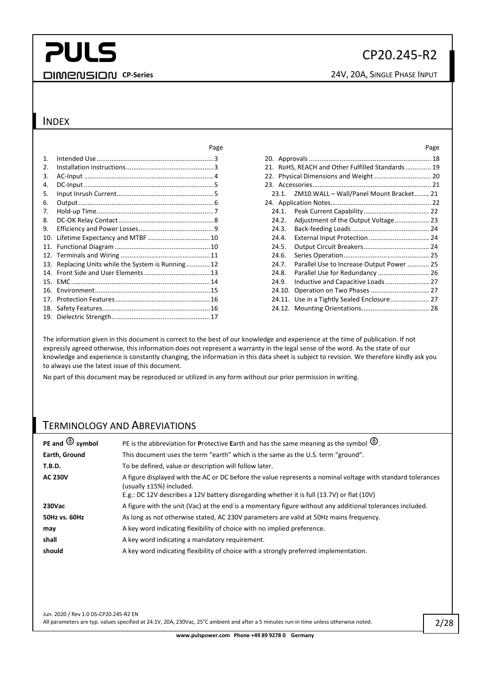### CP20.245-R2

**CP-Series CP-Series** 24V, 20A, SINGLE PHASE INPUT

#### INDEX

|                 |                                               | ٢dg |
|-----------------|-----------------------------------------------|-----|
| 1.              |                                               |     |
| 2.              |                                               |     |
| 3.              |                                               |     |
| 4.              |                                               |     |
| 5.              |                                               |     |
| 6.              |                                               |     |
| 7.              |                                               |     |
| 8.              |                                               |     |
| 9.              |                                               |     |
| 10.             | Lifetime Expectancy and MTBF  10              |     |
| 11.             |                                               |     |
|                 |                                               |     |
| 13.             | Replacing Units while the System is Running12 |     |
| 14              |                                               |     |
| 15.             |                                               |     |
| 16.             |                                               |     |
| 17 <sub>1</sub> |                                               |     |
| 18.             |                                               |     |
|                 |                                               |     |

| Page  |        |                                                   | Page |
|-------|--------|---------------------------------------------------|------|
| . . 3 |        |                                                   |      |
| . 3   |        | 21. RoHS, REACH and Other Fulfilled Standards  19 |      |
| . 4   |        | 22. Physical Dimensions and Weight  20            |      |
| . 5   |        |                                                   |      |
| 5     |        | 23.1. ZM10.WALL - Wall/Panel Mount Bracket 21     |      |
| 6     |        |                                                   |      |
| 7     | 24.1.  |                                                   |      |
| . . 8 | 24.2.  |                                                   |      |
| 9     | 24.3.  |                                                   |      |
| . 10  | 24.4.  |                                                   |      |
| . 10  | 24.5.  |                                                   |      |
| . 11  | 24.6.  |                                                   |      |
| . 12  | 24.7.  | Parallel Use to Increase Output Power 25          |      |
| . 13  | 24.8.  | Parallel Use for Redundancy  26                   |      |
| . 14  | 24.9.  | Inductive and Capacitive Loads  27                |      |
| . 15  | 24.10. | Operation on Two Phases  27                       |      |
| . 16  |        |                                                   |      |
| . 16  |        |                                                   |      |
|       |        |                                                   |      |

The information given in this document is correct to the best of our knowledge and experience at the time of publication. If not expressly agreed otherwise, this information does not represent a warranty in the legal sense of the word. As the state of our knowledge and experience is constantly changing, the information in this data sheet is subject to revision. We therefore kindly ask you to always use the latest issue of this document.

No part of this document may be reproduced or utilized in any form without our prior permission in writing.

#### TERMINOLOGY AND ABREVIATIONS

| PE and $\bigoplus$ symbol | PE is the abbreviation for Protective Earth and has the same meaning as the symbol $\bigoplus$ .                                                                                                                                      |
|---------------------------|---------------------------------------------------------------------------------------------------------------------------------------------------------------------------------------------------------------------------------------|
| Earth, Ground             | This document uses the term "earth" which is the same as the U.S. term "ground".                                                                                                                                                      |
| <b>T.B.D.</b>             | To be defined, value or description will follow later.                                                                                                                                                                                |
| <b>AC 230V</b>            | A figure displayed with the AC or DC before the value represents a nominal voltage with standard tolerances<br>(usually ±15%) included.<br>E.g.: DC 12V describes a 12V battery disregarding whether it is full (13.7V) or flat (10V) |
| <b>230Vac</b>             | A figure with the unit (Vac) at the end is a momentary figure without any additional tolerances included.                                                                                                                             |
| 50Hz vs. 60Hz             | As long as not otherwise stated, AC 230V parameters are valid at 50Hz mains frequency.                                                                                                                                                |
| may                       | A key word indicating flexibility of choice with no implied preference.                                                                                                                                                               |
| shall                     | A key word indicating a mandatory requirement.                                                                                                                                                                                        |
| should                    | A key word indicating flexibility of choice with a strongly preferred implementation.                                                                                                                                                 |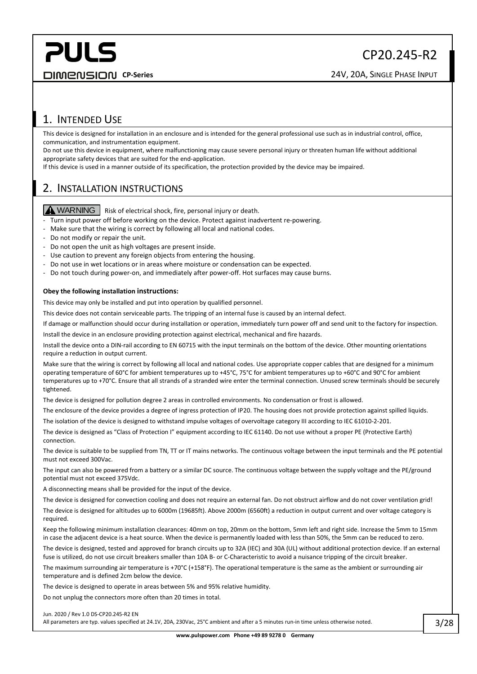#### CP20.245-R2

**CP-Series CP-Series** 24V, 20A, SINGLE PHASE INPUT

#### <span id="page-2-0"></span>1. INTENDED USE

This device is designed for installation in an enclosure and is intended for the general professional use such as in industrial control, office, communication, and instrumentation equipment.

Do not use this device in equipment, where malfunctioning may cause severe personal injury or threaten human life without additional appropriate safety devices that are suited for the end-application.

If this device is used in a manner outside of its specification, the protection provided by the device may be impaired.

#### <span id="page-2-1"></span>2. INSTALLATION INSTRUCTIONS

WARNING Risk of electrical shock, fire, personal injury or death.

- Turn input power off before working on the device. Protect against inadvertent re-powering.
- Make sure that the wiring is correct by following all local and national codes.
- Do not modify or repair the unit.
- Do not open the unit as high voltages are present inside.
- Use caution to prevent any foreign objects from entering the housing.
- Do not use in wet locations or in areas where moisture or condensation can be expected.
- Do not touch during power-on, and immediately after power-off. Hot surfaces may cause burns.

#### **Obey the following installation instructions:**

This device may only be installed and put into operation by qualified personnel.

This device does not contain serviceable parts. The tripping of an internal fuse is caused by an internal defect.

If damage or malfunction should occur during installation or operation, immediately turn power off and send unit to the factory for inspection.

Install the device in an enclosure providing protection against electrical, mechanical and fire hazards.

Install the device onto a DIN-rail according to EN 60715 with the input terminals on the bottom of the device. Other mounting orientations require a reduction in output current.

Make sure that the wiring is correct by following all local and national codes. Use appropriate copper cables that are designed for a minimum operating temperature of 60°C for ambient temperatures up to +45°C, 75°C for ambient temperatures up to +60°C and 90°C for ambient temperatures up to +70°C. Ensure that all strands of a stranded wire enter the terminal connection. Unused screw terminals should be securely tightened.

The device is designed for pollution degree 2 areas in controlled environments. No condensation or frost is allowed.

The enclosure of the device provides a degree of ingress protection of IP20. The housing does not provide protection against spilled liquids.

The isolation of the device is designed to withstand impulse voltages of overvoltage category III according to IEC 61010-2-201.

The device is designed as "Class of Protection I" equipment according to IEC 61140. Do not use without a proper PE (Protective Earth) connection.

The device is suitable to be supplied from TN, TT or IT mains networks. The continuous voltage between the input terminals and the PE potential must not exceed 300Vac.

The input can also be powered from a battery or a similar DC source. The continuous voltage between the supply voltage and the PE/ground potential must not exceed 375Vdc.

A disconnecting means shall be provided for the input of the device.

The device is designed for convection cooling and does not require an external fan. Do not obstruct airflow and do not cover ventilation grid! The device is designed for altitudes up to 6000m (19685ft). Above 2000m (6560ft) a reduction in output current and over voltage category is required.

Keep the following minimum installation clearances: 40mm on top, 20mm on the bottom, 5mm left and right side. Increase the 5mm to 15mm in case the adjacent device is a heat source. When the device is permanently loaded with less than 50%, the 5mm can be reduced to zero.

The device is designed, tested and approved for branch circuits up to 32A (IEC) and 30A (UL) without additional protection device. If an external fuse is utilized, do not use circuit breakers smaller than 10A B- or C-Characteristic to avoid a nuisance tripping of the circuit breaker.

The maximum surrounding air temperature is +70°C (+158°F). The operational temperature is the same as the ambient or surrounding air temperature and is defined 2cm below the device.

The device is designed to operate in areas between 5% and 95% relative humidity.

Do not unplug the connectors more often than 20 times in total.

Jun. 2020 / Rev 1.0 DS-CP20.245-R2 EN

All parameters are typ. values specified at 24.1V, 20A, 230Vac, 25°C ambient and after a 5 minutes run-in time unless otherwise noted.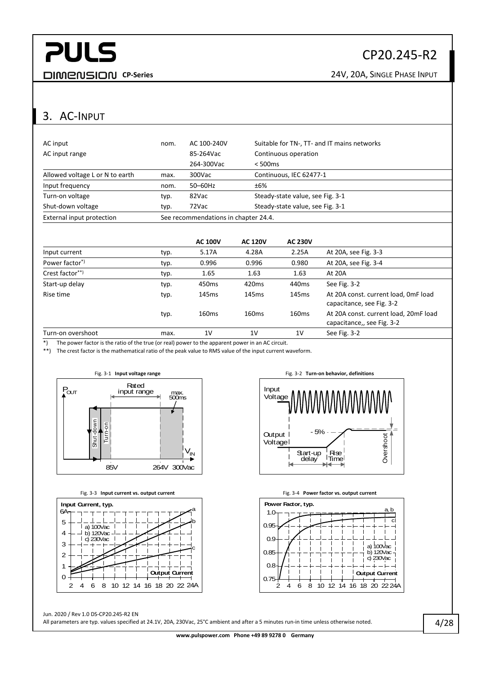#### CP20.245-R2

**CP-Series CP-Series** 24V, 20A, SINGLE PHASE INPUT

#### <span id="page-3-0"></span>3. AC-INPUT

| External input protection       |      | See recommendations in chapter 24.4. |                                             |  |  |
|---------------------------------|------|--------------------------------------|---------------------------------------------|--|--|
| Shut-down voltage               | typ. | 72Vac                                | Steady-state value, see Fig. 3-1            |  |  |
| Turn-on voltage                 | typ. | 82Vac                                | Steady-state value, see Fig. 3-1            |  |  |
| Input frequency                 | nom. | $50-60$ Hz                           | ±6%                                         |  |  |
| Allowed voltage L or N to earth | max. | 300Vac                               | Continuous, IEC 62477-1                     |  |  |
|                                 |      | 264-300Vac                           | $< 500$ ms                                  |  |  |
| AC input range                  |      | 85-264Vac                            | Continuous operation                        |  |  |
| AC input                        | nom. | AC 100-240V                          | Suitable for TN-, TT- and IT mains networks |  |  |

|                            |      | <b>AC 100V</b>    | <b>AC 120V</b>    | <b>AC 230V</b>    |                                                                     |
|----------------------------|------|-------------------|-------------------|-------------------|---------------------------------------------------------------------|
| Input current              | typ. | 5.17A             | 4.28A             | 2.25A             | At 20A, see Fig. 3-3                                                |
| Power factor <sup>*)</sup> | typ. | 0.996             | 0.996             | 0.980             | At 20A, see Fig. 3-4                                                |
| Crest factor**)            | typ. | 1.65              | 1.63              | 1.63              | At 20A                                                              |
| Start-up delay             | typ. | 450 <sub>ms</sub> | 420 <sub>ms</sub> | 440 <sub>ms</sub> | See Fig. 3-2                                                        |
| Rise time                  | typ. | 145 <sub>ms</sub> | 145 <sub>ms</sub> | 145 <sub>ms</sub> | At 20A const. current load, OmF load<br>capacitance, see Fig. 3-2   |
|                            | typ. | 160 <sub>ms</sub> | 160 <sub>ms</sub> | 160 <sub>ms</sub> | At 20A const. current load, 20mF load<br>capacitance,, see Fig. 3-2 |
| Turn-on overshoot          | max. | 1 <sup>V</sup>    | 1 <sup>V</sup>    | 1V                | See Fig. 3-2                                                        |

\*) The power factor is the ratio of the true (or real) power to the apparent power in an AC circuit.

\*\*) The crest factor is the mathematical ratio of the peak value to RMS value of the input current waveform.

<span id="page-3-1"></span>



<span id="page-3-2"></span>

<span id="page-3-4"></span>

<span id="page-3-3"></span>

Jun. 2020 / Rev 1.0 DS-CP20.245-R2 EN

All parameters are typ. values specified at 24.1V, 20A, 230Vac, 25°C ambient and after a 5 minutes run-in time unless otherwise noted.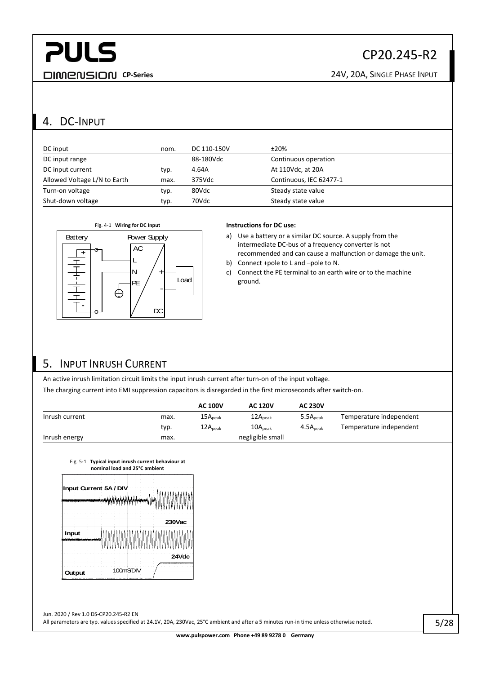### CP20.245-R2

**CP-Series** 24V, 20A, SINGLE PHASE INPUT

#### <span id="page-4-0"></span>4. DC-INPUT

| DC input                     | nom. | DC 110-150V | ±20%                    |
|------------------------------|------|-------------|-------------------------|
| DC input range               |      | 88-180Vdc   | Continuous operation    |
| DC input current             | typ. | 4.64A       | At 110Vdc, at 20A       |
| Allowed Voltage L/N to Earth | max. | 375Vdc      | Continuous, IEC 62477-1 |
| Turn-on voltage              | typ. | 80Vdc       | Steady state value      |
| Shut-down voltage            | typ. | 70Vdc       | Steady state value      |



a) Use a battery or a similar DC source. A supply from the intermediate DC-bus of a frequency converter is not recommended and can cause a malfunction or damage the unit.

b) Connect +pole to L and –pole to N.

c) Connect the PE terminal to an earth wire or to the machine ground.

#### <span id="page-4-1"></span>5. INPUT INRUSH CURRENT

An active inrush limitation circuit limits the input inrush current after turn-on of the input voltage. The charging current into EMI suppression capacitors is disregarded in the first microseconds after switch-on.

|                |      | <b>AC 100V</b>      | <b>AC 120V</b>      | <b>AC 230V</b>       |                         |
|----------------|------|---------------------|---------------------|----------------------|-------------------------|
| Inrush current | max. | 15A <sub>peak</sub> | 12A <sub>peak</sub> | 5.5A <sub>peak</sub> | Temperature independent |
|                | typ. | 12A <sub>peak</sub> | 10A <sub>peak</sub> | 4.5A <sub>peak</sub> | Temperature independent |
| Inrush energy  | max. |                     | negligible small    |                      |                         |

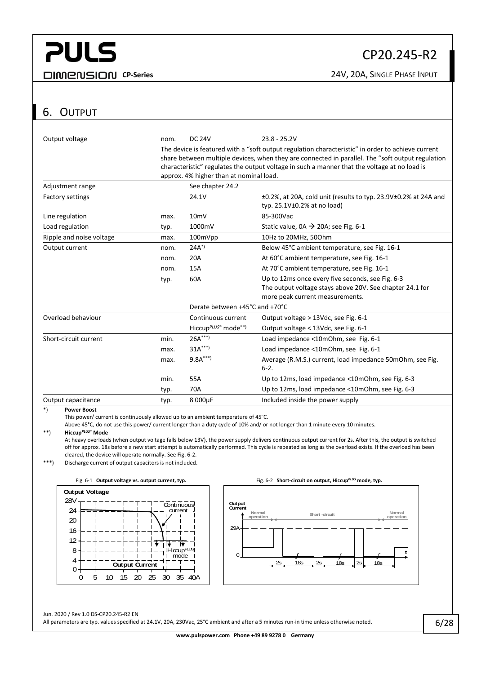#### CP20.245-R2

**CP-Series CP-Series** 24V, 20A, SINGLE PHASE INPUT

#### <span id="page-5-0"></span>6. OUTPUT

| Output voltage           | nom. | <b>DC 24V</b>                                                                                                                                                                                                                                                                                                                                    | $23.8 - 25.2V$                                                                                                                                  |  |
|--------------------------|------|--------------------------------------------------------------------------------------------------------------------------------------------------------------------------------------------------------------------------------------------------------------------------------------------------------------------------------------------------|-------------------------------------------------------------------------------------------------------------------------------------------------|--|
|                          |      | The device is featured with a "soft output regulation characteristic" in order to achieve current<br>share between multiple devices, when they are connected in parallel. The "soft output regulation<br>characteristic" regulates the output voltage in such a manner that the voltage at no load is<br>approx. 4% higher than at nominal load. |                                                                                                                                                 |  |
| Adjustment range         |      | See chapter 24.2                                                                                                                                                                                                                                                                                                                                 |                                                                                                                                                 |  |
| <b>Factory settings</b>  |      | 24.1V                                                                                                                                                                                                                                                                                                                                            | ±0.2%, at 20A, cold unit (results to typ. 23.9V±0.2% at 24A and<br>typ. $25.1V\pm0.2%$ at no load)                                              |  |
| Line regulation          | max. | 10 <sub>m</sub>                                                                                                                                                                                                                                                                                                                                  | 85-300Vac                                                                                                                                       |  |
| Load regulation          | typ. | 1000mV                                                                                                                                                                                                                                                                                                                                           | Static value, $0A \rightarrow 20A$ ; see Fig. 6-1                                                                                               |  |
| Ripple and noise voltage | max. | 100mVpp                                                                                                                                                                                                                                                                                                                                          | 10Hz to 20MHz, 500hm                                                                                                                            |  |
| Output current           | nom. | $24A^{*}$                                                                                                                                                                                                                                                                                                                                        | Below 45°C ambient temperature, see Fig. 16-1                                                                                                   |  |
|                          | nom. | 20A                                                                                                                                                                                                                                                                                                                                              | At 60°C ambient temperature, see Fig. 16-1                                                                                                      |  |
|                          | nom. | 15A                                                                                                                                                                                                                                                                                                                                              | At 70°C ambient temperature, see Fig. 16-1                                                                                                      |  |
|                          | typ. | 60A                                                                                                                                                                                                                                                                                                                                              | Up to 12ms once every five seconds, see Fig. 6-3<br>The output voltage stays above 20V. See chapter 24.1 for<br>more peak current measurements. |  |
|                          |      | Derate between +45°C and +70°C                                                                                                                                                                                                                                                                                                                   |                                                                                                                                                 |  |
| Overload behaviour       |      | Continuous current                                                                                                                                                                                                                                                                                                                               | Output voltage > 13Vdc, see Fig. 6-1                                                                                                            |  |
|                          |      | Hiccup <sup>PLUS®</sup> mode <sup>**)</sup>                                                                                                                                                                                                                                                                                                      | Output voltage < 13Vdc, see Fig. 6-1                                                                                                            |  |
| Short-circuit current    | min. | $26A***$                                                                                                                                                                                                                                                                                                                                         | Load impedance <10mOhm, see Fig. 6-1                                                                                                            |  |
|                          | max. | $31A***$                                                                                                                                                                                                                                                                                                                                         | Load impedance <10mOhm, see Fig. 6-1                                                                                                            |  |
|                          | max. | $9.8A***$                                                                                                                                                                                                                                                                                                                                        | Average (R.M.S.) current, load impedance 50mOhm, see Fig.<br>$6 - 2.$                                                                           |  |
|                          | min. | 55A                                                                                                                                                                                                                                                                                                                                              | Up to 12ms, load impedance <10mOhm, see Fig. 6-3                                                                                                |  |
|                          | typ. | 70A                                                                                                                                                                                                                                                                                                                                              | Up to 12ms, load impedance <10mOhm, see Fig. 6-3                                                                                                |  |
| Output capacitance       | typ. | 8 000µF                                                                                                                                                                                                                                                                                                                                          | Included inside the power supply                                                                                                                |  |

\*) **Power Boost**

This power/ current is continuously allowed up to an ambient temperature of 45°C.

Above 45°C, do not use this power/ current longer than a duty cycle of 10% and/ or not longer than 1 minute every 10 minutes.

#### \*\*) **Hiccup***PLUS*® **Mode**

At heavy overloads (when output voltage falls below 13V), the power supply delivers continuous output current for 2s. After this, the output is switched off for approx. 18s before a new start attempt is automatically performed. This cycle is repeated as long as the overload exists. If the overload has been cleared, the device will operate normally. Se[e Fig. 6-2.](#page-5-2)

\*\*\*) Discharge current of output capacitors is not included.



<span id="page-5-1"></span>

<span id="page-5-2"></span>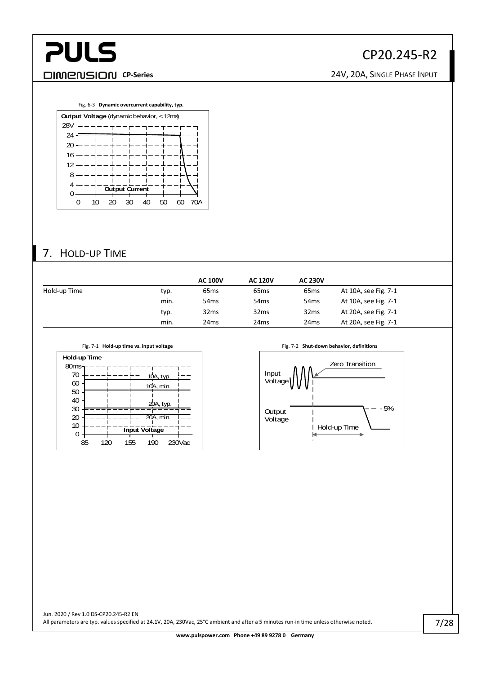

#### CP20.245-R2

<span id="page-6-1"></span>

#### <span id="page-6-0"></span>7. HOLD-UP TIME

|              |      | <b>AC 100V</b>   | <b>AC 120V</b>   | <b>AC 230V</b>   |                      |
|--------------|------|------------------|------------------|------------------|----------------------|
| Hold-up Time | typ. | 65 <sub>ms</sub> | 65 <sub>ms</sub> | 65 <sub>ms</sub> | At 10A, see Fig. 7-1 |
|              | min. | 54 <sub>ms</sub> | 54 <sub>ms</sub> | 54 <sub>ms</sub> | At 10A, see Fig. 7-1 |
|              | typ. | 32ms             | 32 <sub>ms</sub> | 32ms             | At 20A, see Fig. 7-1 |
|              | min. | 24 <sub>ms</sub> | 24 <sub>ms</sub> | 24ms             | At 20A, see Fig. 7-1 |

<span id="page-6-2"></span>



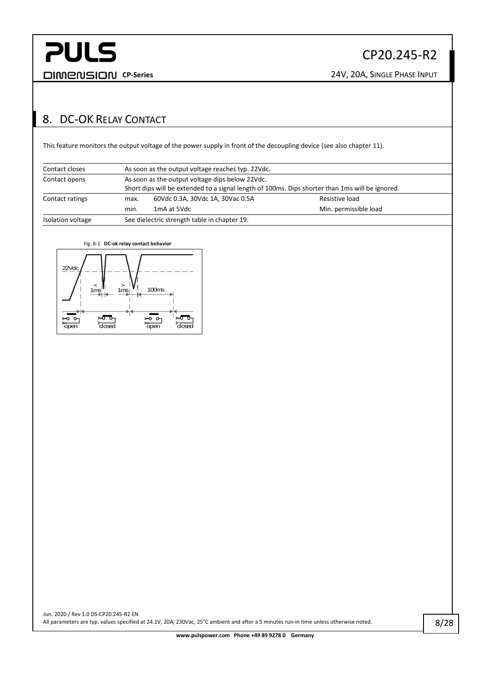#### <span id="page-7-0"></span>8. DC-OK RELAY CONTACT

This feature monitors the output voltage of the power supply in front of the decoupling device (see also chapte[r 11\)](#page-9-1).

| Contact closes    |                                                                                                                                                    | As soon as the output voltage reaches typ. 22Vdc. |                       |  |  |  |  |
|-------------------|----------------------------------------------------------------------------------------------------------------------------------------------------|---------------------------------------------------|-----------------------|--|--|--|--|
| Contact opens     | As soon as the output voltage dips below 22Vdc.<br>Short dips will be extended to a signal length of 100ms. Dips shorter than 1ms will be ignored. |                                                   |                       |  |  |  |  |
| Contact ratings   | 60Vdc 0.3A, 30Vdc 1A, 30Vac 0.5A<br>Resistive load<br>max.                                                                                         |                                                   |                       |  |  |  |  |
|                   | min.                                                                                                                                               | 1 <sub>m</sub> A at 5Vdc                          | Min. permissible load |  |  |  |  |
| Isolation voltage | See dielectric strength table in chapter 19.                                                                                                       |                                                   |                       |  |  |  |  |

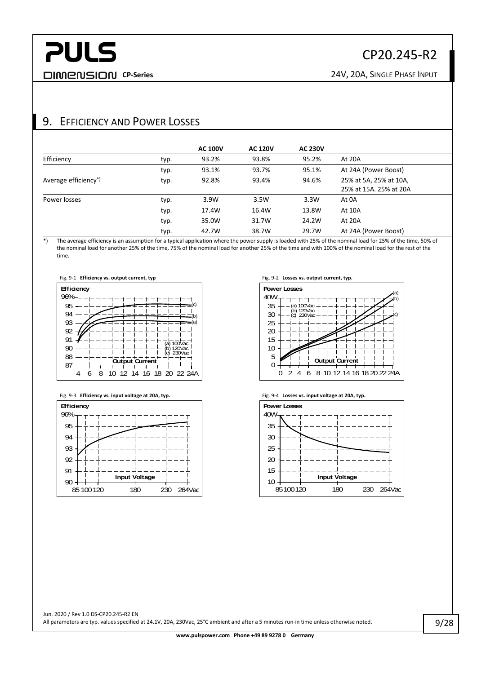**CP-Series CP-Series** 24V, 20A, SINGLE PHASE INPUT

#### <span id="page-8-0"></span>9. EFFICIENCY AND POWER LOSSES

|                                 |      | <b>AC 100V</b> | <b>AC 120V</b> | <b>AC 230V</b> |                                                  |
|---------------------------------|------|----------------|----------------|----------------|--------------------------------------------------|
| Efficiency                      | typ. | 93.2%          | 93.8%          | 95.2%          | At 20A                                           |
|                                 | typ. | 93.1%          | 93.7%          | 95.1%          | At 24A (Power Boost)                             |
| Average efficiency <sup>*</sup> | typ. | 92.8%          | 93.4%          | 94.6%          | 25% at 5A, 25% at 10A,<br>25% at 15A. 25% at 20A |
| Power losses                    | typ. | 3.9W           | 3.5W           | 3.3W           | At 0A                                            |
|                                 | typ. | 17.4W          | 16.4W          | 13.8W          | At 10A                                           |
|                                 | typ. | 35.0W          | 31.7W          | 24.2W          | At 20A                                           |
|                                 | typ. | 42.7W          | 38.7W          | 29.7W          | At 24A (Power Boost)                             |

\*) The average efficiency is an assumption for a typical application where the power supply is loaded with 25% of the nominal load for 25% of the time, 50% of the nominal load for another 25% of the time, 75% of the nominal load for another 25% of the time and with 100% of the nominal load for the rest of the time.









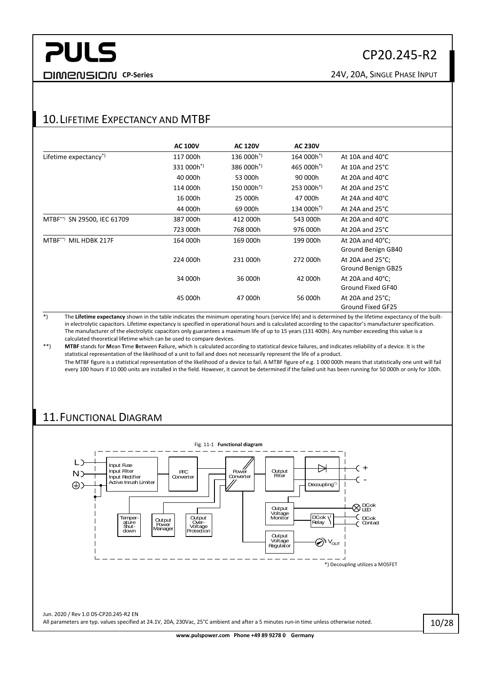#### <span id="page-9-0"></span>10. LIFETIME EXPECTANCY AND MTRE

|                                   | <b>AC 100V</b>         | <b>AC 120V</b>         | <b>AC 230V</b>         |                            |
|-----------------------------------|------------------------|------------------------|------------------------|----------------------------|
| Lifetime expectancy <sup>*)</sup> | 117 000h               | $136000h^*$            | 164 000h <sup>*)</sup> | At 10A and $40^{\circ}$ C  |
|                                   | 331 000h <sup>*)</sup> | 386 000h <sup>*)</sup> | 465 000h <sup>*)</sup> | At 10A and 25°C            |
|                                   | 40 000h                | 53 000h                | 90 000h                | At 20A and $40^{\circ}$ C  |
|                                   | 114 000h               | 150 000h <sup>*)</sup> | 253 000h <sup>*)</sup> | At 20A and $25^{\circ}$ C  |
|                                   | 16 000h                | 25 000h                | 47 000h                | At 24A and $40^{\circ}$ C  |
|                                   | 44 000h                | 69 000h                | 134 000h <sup>*)</sup> | At 24A and $25^{\circ}$ C  |
| MTBF**) SN 29500, IEC 61709       | 387 000h               | 412 000h               | 543 000h               | At 20A and $40^{\circ}$ C  |
|                                   | 723 000h               | 768 000h               | 976 000h               | At 20A and $25^{\circ}$ C  |
| MTBF**) MIL HDBK 217F             | 164 000h               | 169 000h               | 199 000h               | At 20A and $40^{\circ}$ C; |
|                                   |                        |                        |                        | Ground Benign GB40         |
|                                   | 224 000h               | 231 000h               | 272 000h               | At 20A and $25^{\circ}$ C; |
|                                   |                        |                        |                        | Ground Benign GB25         |
|                                   | 34 000h                | 36 000h                | 42 000h                | At 20A and $40^{\circ}$ C; |
|                                   |                        |                        |                        | Ground Fixed GF40          |
|                                   | 45 000h                | 47 000h                | 56 000h                | At 20A and $25^{\circ}$ C; |
|                                   |                        |                        |                        | Ground Fixed GF25          |

\*) The **Lifetime expectancy** shown in the table indicates the minimum operating hours (service life) and is determined by the lifetime expectancy of the builtin electrolytic capacitors. Lifetime expectancy is specified in operational hours and is calculated according to the capacitor's manufacturer specification. The manufacturer of the electrolytic capacitors only guarantees a maximum life of up to 15 years (131 400h). Any number exceeding this value is a calculated theoretical lifetime which can be used to compare devices.

\*\*) **MTBF** stands for **Mean Time Between Failure, which is calculated according to statistical device failures, and indicates reliability of a device. It is the** statistical representation of the likelihood of a unit to fail and does not necessarily represent the life of a product. The MTBF figure is a statistical representation of the likelihood of a device to fail. A MTBF figure of e.g. 1 000 000h means that statistically one unit will fail every 100 hours if 10 000 units are installed in the field. However, it cannot be determined if the failed unit has been running for 50 000h or only for 100h.

#### <span id="page-9-1"></span>11.FUNCTIONAL DIAGRAM

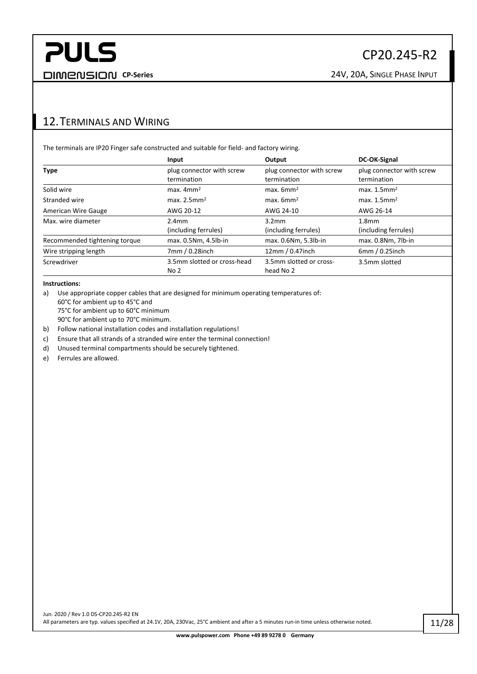#### <span id="page-10-0"></span>12.TERMINALS AND WIRING

The terminals are IP20 Finger safe constructed and suitable for field- and factory wiring.

|                               | Input                                    | Output                                   | DC-OK-Signal                             |
|-------------------------------|------------------------------------------|------------------------------------------|------------------------------------------|
| <b>Type</b>                   | plug connector with screw<br>termination | plug connector with screw<br>termination | plug connector with screw<br>termination |
| Solid wire                    | $max.$ 4mm <sup>2</sup>                  | $max.$ 6mm <sup>2</sup>                  | max. 1.5mm <sup>2</sup>                  |
| Stranded wire                 | max. $2.5$ mm <sup>2</sup>               | $max.$ 6mm <sup>2</sup>                  | max. $1.5$ mm <sup>2</sup>               |
| American Wire Gauge           | AWG 20-12                                | AWG 24-10                                | AWG 26-14                                |
| Max, wire diameter            | 2.4 <sub>mm</sub>                        | 3.2 <sub>mm</sub>                        | 1.8 <sub>mm</sub>                        |
|                               | (including ferrules)                     | (including ferrules)                     | (including ferrules)                     |
| Recommended tightening torque | max. 0.5Nm, 4.5lb-in                     | max. 0.6Nm, 5.3lb-in                     | max. 0.8Nm, 7lb-in                       |
| Wire stripping length         | 7mm / 0.28inch                           | 12mm / 0.47inch                          | 6mm/0.25inch                             |
| Screwdriver                   | 3.5mm slotted or cross-head              | 3.5mm slotted or cross-                  | 3.5mm slotted                            |
|                               | No <sub>2</sub>                          | head No 2                                |                                          |

#### **Instructions:**

a) Use appropriate copper cables that are designed for minimum operating temperatures of:

60°C for ambient up to 45°C and

75°C for ambient up to 60°C minimum

90°C for ambient up to 70°C minimum.

b) Follow national installation codes and installation regulations!

c) Ensure that all strands of a stranded wire enter the terminal connection!

d) Unused terminal compartments should be securely tightened.

e) Ferrules are allowed.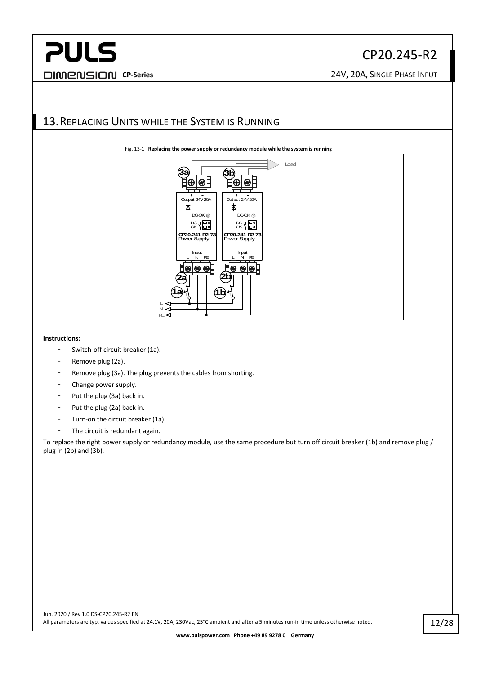### CP20.245-R2

**CP-Series** 24V, 20A, SINGLE PHASE INPUT

#### <span id="page-11-0"></span>13.REPLACING UNITS WHILE THE SYSTEM IS RUNNING



#### **Instructions:**

- Switch-off circuit breaker (1a).
- Remove plug (2a).
- Remove plug (3a). The plug prevents the cables from shorting.
- Change power supply.
- Put the plug (3a) back in.
- Put the plug (2a) back in.
- Turn-on the circuit breaker (1a).
- The circuit is redundant again.

To replace the right power supply or redundancy module, use the same procedure but turn off circuit breaker (1b) and remove plug / plug in (2b) and (3b).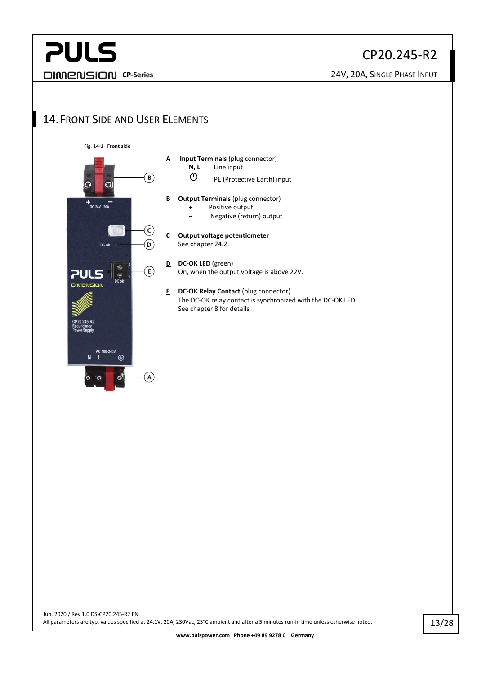#### CP20.245-R2

**CP-Series CP-Series** 24V, 20A, SINGLE PHASE INPUT

#### <span id="page-12-0"></span>14.FRONT SIDE AND USER ELEMENTS

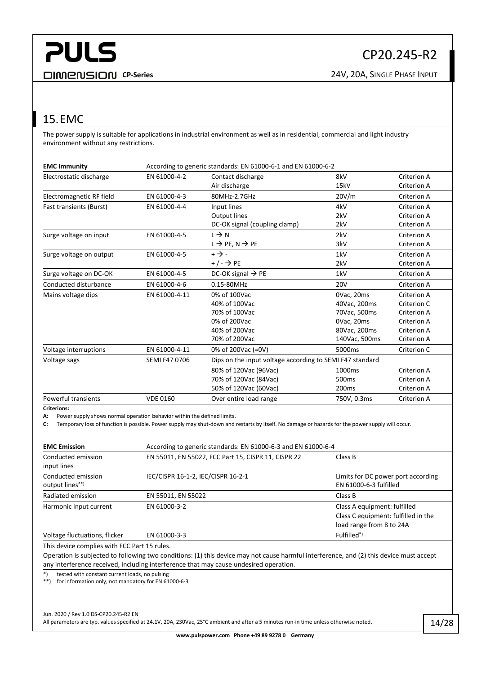#### <span id="page-13-0"></span>15.EMC

The power supply is suitable for applications in industrial environment as well as in residential, commercial and light industry environment without any restrictions.

| <b>EMC Immunity</b>            | According to generic standards: EN 61000-6-1 and EN 61000-6-2 |                                                          |                    |             |
|--------------------------------|---------------------------------------------------------------|----------------------------------------------------------|--------------------|-------------|
| Electrostatic discharge        | EN 61000-4-2                                                  | Contact discharge                                        | 8kV                | Criterion A |
|                                |                                                               | Air discharge                                            | 15kV               | Criterion A |
| Electromagnetic RF field       | EN 61000-4-3                                                  | 80MHz-2.7GHz                                             | 20V/m              | Criterion A |
| <b>Fast transients (Burst)</b> | EN 61000-4-4                                                  | Input lines                                              | 4kV                | Criterion A |
|                                |                                                               | Output lines                                             | 2kV                | Criterion A |
|                                |                                                               | DC-OK signal (coupling clamp)                            | 2kV                | Criterion A |
| Surge voltage on input         | EN 61000-4-5                                                  | $L \rightarrow N$                                        | 2kV                | Criterion A |
|                                |                                                               | $L \rightarrow$ PE, N $\rightarrow$ PE                   | 3kV                | Criterion A |
| Surge voltage on output        | EN 61000-4-5                                                  | $+$ $\rightarrow$ $-$                                    | 1kV                | Criterion A |
|                                |                                                               | $+/ \rightarrow$ PE                                      | 2kV                | Criterion A |
| Surge voltage on DC-OK         | EN 61000-4-5                                                  | DC-OK signal $\rightarrow$ PE                            | 1kV                | Criterion A |
| Conducted disturbance          | EN 61000-4-6                                                  | 0.15-80MHz                                               | <b>20V</b>         | Criterion A |
| Mains voltage dips             | EN 61000-4-11                                                 | 0% of 100Vac                                             | OVac, 20ms         | Criterion A |
|                                |                                                               | 40% of 100Vac                                            | 40Vac, 200ms       | Criterion C |
|                                |                                                               | 70% of 100Vac                                            | 70Vac, 500ms       | Criterion A |
|                                |                                                               | 0% of 200Vac                                             | OVac, 20ms         | Criterion A |
|                                |                                                               | 40% of 200Vac                                            | 80Vac, 200ms       | Criterion A |
|                                |                                                               | 70% of 200Vac                                            | 140Vac, 500ms      | Criterion A |
| Voltage interruptions          | EN 61000-4-11                                                 | 0% of 200Vac (=0V)                                       | 5000ms             | Criterion C |
| Voltage sags                   | <b>SEMI F47 0706</b>                                          | Dips on the input voltage according to SEMI F47 standard |                    |             |
|                                |                                                               | 80% of 120Vac (96Vac)                                    | 1000 <sub>ms</sub> | Criterion A |
|                                |                                                               | 70% of 120Vac (84Vac)                                    | 500 <sub>ms</sub>  | Criterion A |
|                                |                                                               | 50% of 120Vac (60Vac)                                    | 200 <sub>ms</sub>  | Criterion A |
| <b>Powerful transients</b>     | <b>VDE 0160</b>                                               | Over entire load range                                   | 750V, 0.3ms        | Criterion A |

**Criterions:**

**A:** Power supply shows normal operation behavior within the defined limits.

**C:** Temporary loss of function is possible. Power supply may shut-down and restarts by itself. No damage or hazards for the power supply will occur.

| <b>EMC Emission</b>                   | According to generic standards: EN 61000-6-3 and EN 61000-6-4 |                                                                                                 |  |  |
|---------------------------------------|---------------------------------------------------------------|-------------------------------------------------------------------------------------------------|--|--|
| Conducted emission<br>input lines     | EN 55011, EN 55022, FCC Part 15, CISPR 11, CISPR 22           | Class B                                                                                         |  |  |
| Conducted emission<br>output lines**) | IEC/CISPR 16-1-2, IEC/CISPR 16-2-1                            | Limits for DC power port according<br>EN 61000-6-3 fulfilled                                    |  |  |
| Radiated emission                     | EN 55011, EN 55022                                            | Class B                                                                                         |  |  |
| Harmonic input current                | EN 61000-3-2                                                  | Class A equipment: fulfilled<br>Class C equipment: fulfilled in the<br>load range from 8 to 24A |  |  |
| Voltage fluctuations, flicker         | EN 61000-3-3                                                  | Fulfilled <sup>*)</sup>                                                                         |  |  |

This device complies with FCC Part 15 rules.

Operation is subjected to following two conditions: (1) this device may not cause harmful interference, and (2) this device must accept any interference received, including interference that may cause undesired operation.

\*) tested with constant current loads, no pulsing

\*\*) for information only, not mandatory for EN 61000-6-3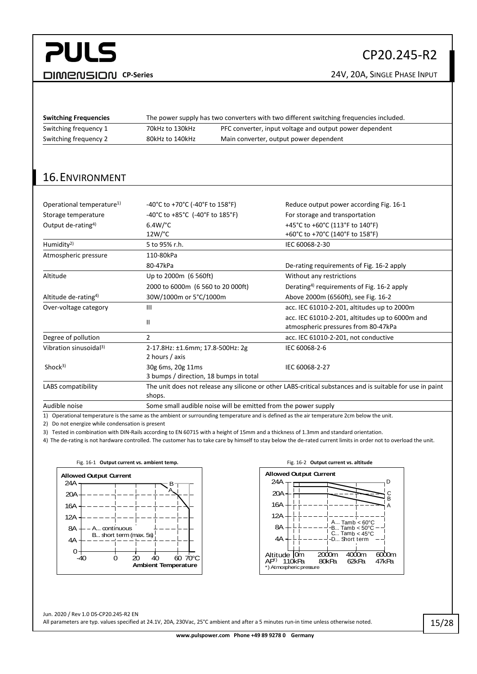## **PULS CP-Series CP-Series** 24V, 20A, SINGLE PHASE INPUT

### CP20.245-R2

| <b>Switching Frequencies</b> | The power supply has two converters with two different switching frequencies included. |                                                         |
|------------------------------|----------------------------------------------------------------------------------------|---------------------------------------------------------|
| Switching frequency 1        | 70kHz to 130kHz                                                                        | PFC converter, input voltage and output power dependent |
| Switching frequency 2        | 80kHz to 140kHz                                                                        | Main converter, output power dependent                  |
|                              |                                                                                        |                                                         |

#### <span id="page-14-0"></span>16.ENVIRONMENT

| Operational temperature <sup>1)</sup> | -40°C to +70°C (-40°F to 158°F)                                                                           | Reduce output power according Fig. 16-1                |
|---------------------------------------|-----------------------------------------------------------------------------------------------------------|--------------------------------------------------------|
| Storage temperature                   | -40°C to +85°C (-40°F to 185°F)                                                                           | For storage and transportation                         |
| Output de-rating <sup>4)</sup>        | $6.4W$ /°C                                                                                                | +45°C to +60°C (113°F to 140°F)                        |
|                                       | $12W$ <sup>o</sup> C                                                                                      | +60°C to +70°C (140°F to 158°F)                        |
| Humidity <sup>2)</sup>                | 5 to 95% r.h.                                                                                             | IEC 60068-2-30                                         |
| Atmospheric pressure                  | 110-80kPa                                                                                                 |                                                        |
|                                       | 80-47kPa                                                                                                  | De-rating requirements of Fig. 16-2 apply              |
| Altitude                              | Up to 2000m (6 560ft)                                                                                     | Without any restrictions                               |
|                                       | 2000 to 6000m (6 560 to 20 000ft)                                                                         | Derating <sup>4)</sup> requirements of Fig. 16-2 apply |
| Altitude de-rating <sup>4)</sup>      | 30W/1000m or 5°C/1000m                                                                                    | Above 2000m (6560ft), see Fig. 16-2                    |
| Over-voltage category                 | $\mathbf{III}$                                                                                            | acc. IEC 61010-2-201, altitudes up to 2000m            |
|                                       | $\mathbf{I}$                                                                                              | acc. IEC 61010-2-201, altitudes up to 6000m and        |
|                                       |                                                                                                           | atmospheric pressures from 80-47kPa                    |
| Degree of pollution                   | 2                                                                                                         | acc. IEC 61010-2-201, not conductive                   |
| Vibration sinusoidal <sup>3)</sup>    | 2-17.8Hz: ±1.6mm; 17.8-500Hz: 2g                                                                          | IEC 60068-2-6                                          |
|                                       | 2 hours / axis                                                                                            |                                                        |
| Shock <sup>3</sup>                    | 30g 6ms, 20g 11ms                                                                                         | IEC 60068-2-27                                         |
|                                       | 3 bumps / direction, 18 bumps in total                                                                    |                                                        |
| LABS compatibility                    | The unit does not release any silicone or other LABS-critical substances and is suitable for use in paint |                                                        |
|                                       | shops.                                                                                                    |                                                        |
| Audible noise                         | Some small audible noise will be emitted from the power supply                                            |                                                        |

1) Operational temperature is the same as the ambient or surrounding temperature and is defined as the air temperature 2cm below the unit.

2) Do not energize while condensation is present

3) Tested in combination with DIN-Rails according to EN 60715 with a height of 15mm and a thickness of 1.3mm and standard orientation.

4) The de-rating is not hardware controlled. The customer has to take care by himself to stay below the de-rated current limits in order not to overload the unit.

<span id="page-14-1"></span>

<span id="page-14-2"></span>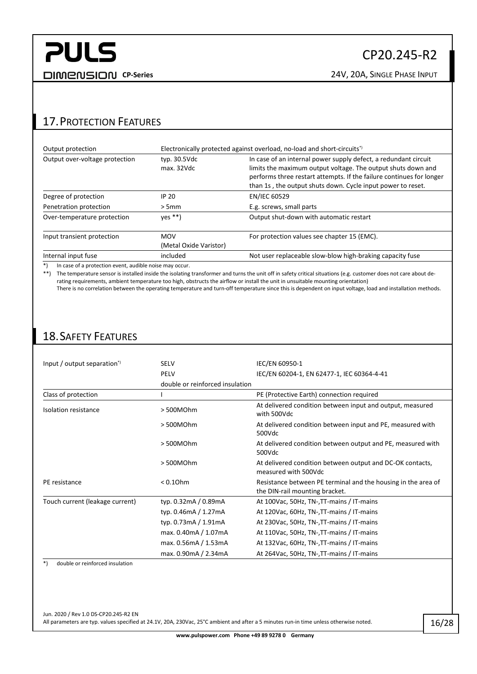#### <span id="page-15-0"></span>17.PROTECTION FEATURES

| Output protection              | Electronically protected against overload, no-load and short-circuits <sup>*</sup> |                                                                                                                                                                                                                                                                        |  |
|--------------------------------|------------------------------------------------------------------------------------|------------------------------------------------------------------------------------------------------------------------------------------------------------------------------------------------------------------------------------------------------------------------|--|
| Output over-voltage protection | typ. 30.5Vdc<br>max. 32Vdc                                                         | In case of an internal power supply defect, a redundant circuit<br>limits the maximum output voltage. The output shuts down and<br>performs three restart attempts. If the failure continues for longer<br>than 1s, the output shuts down. Cycle input power to reset. |  |
| Degree of protection           | IP 20                                                                              | <b>EN/IEC 60529</b>                                                                                                                                                                                                                                                    |  |
| Penetration protection         | > 5mm                                                                              | E.g. screws, small parts                                                                                                                                                                                                                                               |  |
| Over-temperature protection    | $yes **$                                                                           | Output shut-down with automatic restart                                                                                                                                                                                                                                |  |
| Input transient protection     | <b>MOV</b><br>(Metal Oxide Varistor)                                               | For protection values see chapter 15 (EMC).                                                                                                                                                                                                                            |  |
| Internal input fuse            | included                                                                           | Not user replaceable slow-blow high-braking capacity fuse                                                                                                                                                                                                              |  |

\*) In case of a protection event, audible noise may occur.

\*\*) The temperature sensor is installed inside the isolating transformer and turns the unit off in safety critical situations (e.g. customer does not care about derating requirements, ambient temperature too high, obstructs the airflow or install the unit in unsuitable mounting orientation)

There is no correlation between the operating temperature and turn-off temperature since this is dependent on input voltage, load and installation methods.

#### <span id="page-15-1"></span>18.SAFETY FEATURES

| Input / output separation <sup>*</sup> | <b>SELV</b>                     | IEC/EN 60950-1                                                                                  |
|----------------------------------------|---------------------------------|-------------------------------------------------------------------------------------------------|
|                                        | <b>PELV</b>                     | IEC/EN 60204-1, EN 62477-1, IEC 60364-4-41                                                      |
|                                        | double or reinforced insulation |                                                                                                 |
| Class of protection                    |                                 | PE (Protective Earth) connection required                                                       |
| Isolation resistance                   | >500MOhm                        | At delivered condition between input and output, measured<br>with 500Vdc                        |
|                                        | >500MOhm                        | At delivered condition between input and PE, measured with<br>500Vdc                            |
|                                        | > 500MOhm                       | At delivered condition between output and PE, measured with<br>500Vdc                           |
|                                        | >500MOhm                        | At delivered condition between output and DC-OK contacts,<br>measured with 500Vdc               |
| PE resistance                          | $< 0.10$ hm                     | Resistance between PE terminal and the housing in the area of<br>the DIN-rail mounting bracket. |
| Touch current (leakage current)        | typ. 0.32mA / 0.89mA            | At 100Vac, 50Hz, TN-, TT-mains / IT-mains                                                       |
|                                        | typ. 0.46mA / 1.27mA            | At 120Vac, 60Hz, TN-, TT-mains / IT-mains                                                       |
|                                        | typ. 0.73mA / 1.91mA            | At 230Vac, 50Hz, TN-, TT-mains / IT-mains                                                       |
|                                        | max. 0.40mA / 1.07mA            | At 110Vac, 50Hz, TN-, TT-mains / IT-mains                                                       |
|                                        | max. 0.56mA / 1.53mA            | At 132Vac, 60Hz, TN-, TT-mains / IT-mains                                                       |
|                                        | max. 0.90mA / 2.34mA            | At 264Vac, 50Hz, TN-, TT-mains / IT-mains                                                       |

\*) double or reinforced insulation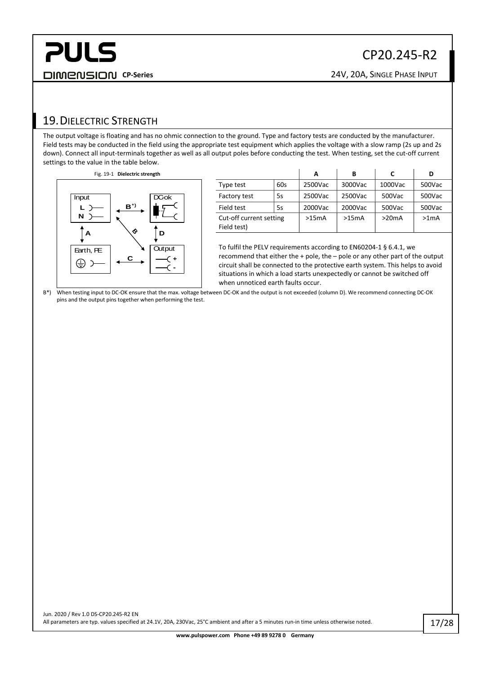#### <span id="page-16-0"></span>19.DIELECTRIC STRENGTH

The output voltage is floating and has no ohmic connection to the ground. Type and factory tests are conducted by the manufacturer. Field tests may be conducted in the field using the appropriate test equipment which applies the voltage with a slow ramp (2s up and 2s down). Connect all input-terminals together as well as all output poles before conducting the test. When testing, set the cut-off current settings to the value in the table below.



pins and the output pins together when performing the test.

|                                        |     | А       | в       | C       | D                 |
|----------------------------------------|-----|---------|---------|---------|-------------------|
| Type test                              | 60s | 2500Vac | 3000Vac | 1000Vac | 500Vac            |
| Factory test                           | 5s  | 2500Vac | 2500Vac | 500Vac  | 500Vac            |
| Field test                             | 5s  | 2000Vac | 2000Vac | 500Vac  | 500Vac            |
| Cut-off current setting<br>Field test) |     | >15mA   | >15mA   | >20mA   | >1 <sub>m</sub> A |

To fulfil the PELV requirements according to EN60204-1 § 6.4.1, we recommend that either the + pole, the – pole or any other part of the output circuit shall be connected to the protective earth system. This helps to avoid situations in which a load starts unexpectedly or cannot be switched off when unnoticed earth faults occur.

B\*) When testing input to DC-OK ensure that the max. voltage between DC-OK and the output is not exceeded (column D). We recommend connecting DC-OK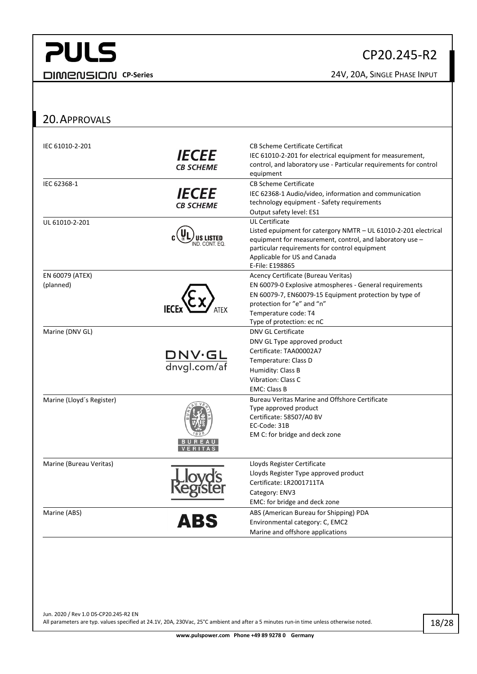#### CP20.245-R2

**CP-Series** 24V, 20A, SINGLE PHASE INPUT

#### <span id="page-17-0"></span>20.APPROVALS

| IEC 61010-2-201              | <i><b>IECEE</b></i><br><b>CB SCHEME</b>     | CB Scheme Certificate Certificat<br>IEC 61010-2-201 for electrical equipment for measurement,<br>control, and laboratory use - Particular requirements for control<br>equipment                                                                          |
|------------------------------|---------------------------------------------|----------------------------------------------------------------------------------------------------------------------------------------------------------------------------------------------------------------------------------------------------------|
| IEC 62368-1                  | <i><b>IECEE</b></i><br><b>CB SCHEME</b>     | <b>CB Scheme Certificate</b><br>IEC 62368-1 Audio/video, information and communication<br>technology equipment - Safety requirements<br>Output safety level: ES1                                                                                         |
| UL 61010-2-201               |                                             | <b>UL Certificate</b><br>Listed epuipment for catergory NMTR - UL 61010-2-201 electrical<br>equipment for measurement, control, and laboratory use -<br>particular requirements for control equipment<br>Applicable for US and Canada<br>E-File: E198865 |
| EN 60079 (ATEX)<br>(planned) |                                             | Acency Certificate (Bureau Veritas)<br>EN 60079-0 Explosive atmospheres - General requirements<br>EN 60079-7, EN60079-15 Equipment protection by type of<br>protection for "e" and "n"<br>Temperature code: T4<br>Type of protection: ec nC              |
| Marine (DNV GL)              | $\frac{\text{DNV·GL}}{\text{dnygl.com/af}}$ | <b>DNV GL Certificate</b><br>DNV GL Type approved product<br>Certificate: TAA00002A7<br>Temperature: Class D<br>Humidity: Class B<br>Vibration: Class C<br><b>EMC: Class B</b>                                                                           |
| Marine (Lloyd's Register)    |                                             | <b>Bureau Veritas Marine and Offshore Certificate</b><br>Type approved product<br>Certificate: 58507/A0 BV<br>EC-Code: 31B<br>EM C: for bridge and deck zone                                                                                             |
| Marine (Bureau Veritas)      |                                             | Lloyds Register Certificate<br>Lloyds Register Type approved product<br>Certificate: LR2001711TA<br>Category: ENV3<br>EMC: for bridge and deck zone                                                                                                      |
| Marine (ABS)                 | ABS                                         | ABS (American Bureau for Shipping) PDA<br>Environmental category: C, EMC2<br>Marine and offshore applications                                                                                                                                            |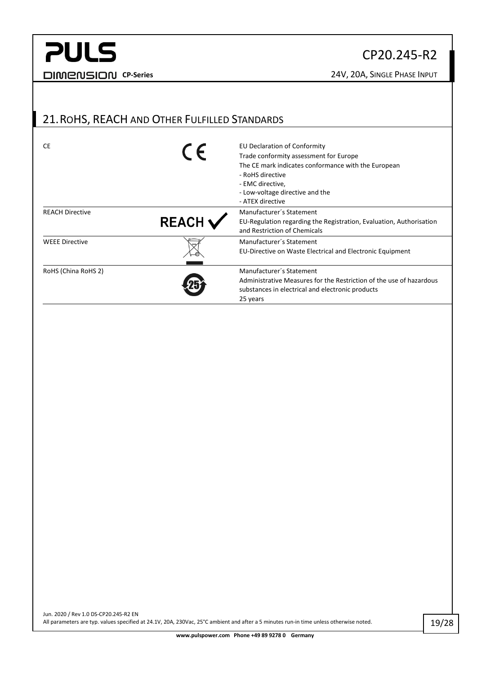#### CP20.245-R2

#### <span id="page-18-0"></span>21.ROHS, REACH AND OTHER FULFILLED STANDARDS

| CE                     | $\epsilon$   | EU Declaration of Conformity<br>Trade conformity assessment for Europe                                                                                          |
|------------------------|--------------|-----------------------------------------------------------------------------------------------------------------------------------------------------------------|
|                        |              | The CE mark indicates conformance with the European<br>- RoHS directive<br>- EMC directive,<br>- Low-voltage directive and the<br>- ATEX directive              |
| <b>REACH Directive</b> | <b>REACH</b> | Manufacturer's Statement<br>EU-Regulation regarding the Registration, Evaluation, Authorisation<br>and Restriction of Chemicals                                 |
| <b>WEEE Directive</b>  |              | Manufacturer's Statement<br>EU-Directive on Waste Electrical and Electronic Equipment                                                                           |
| RoHS (China RoHS 2)    |              | Manufacturer's Statement<br>Administrative Measures for the Restriction of the use of hazardous<br>substances in electrical and electronic products<br>25 years |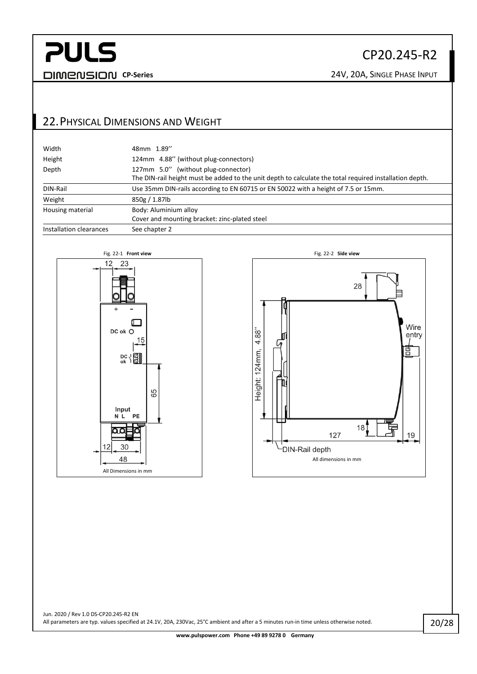#### CP20.245-R2

#### <span id="page-19-0"></span>22.PHYSICAL DIMENSIONS AND WEIGHT

| Width                   | 48mm 1.89"                                                                                              |
|-------------------------|---------------------------------------------------------------------------------------------------------|
| Height                  | 124mm 4.88" (without plug-connectors)                                                                   |
| Depth                   | 127mm 5.0" (without plug-connector)                                                                     |
|                         | The DIN-rail height must be added to the unit depth to calculate the total required installation depth. |
| DIN-Rail                | Use 35mm DIN-rails according to EN 60715 or EN 50022 with a height of 7.5 or 15mm.                      |
| Weight                  | 850g / 1.87lb                                                                                           |
| Housing material        | Body: Aluminium alloy                                                                                   |
|                         | Cover and mounting bracket: zinc-plated steel                                                           |
| Installation clearances | See chapter 2                                                                                           |



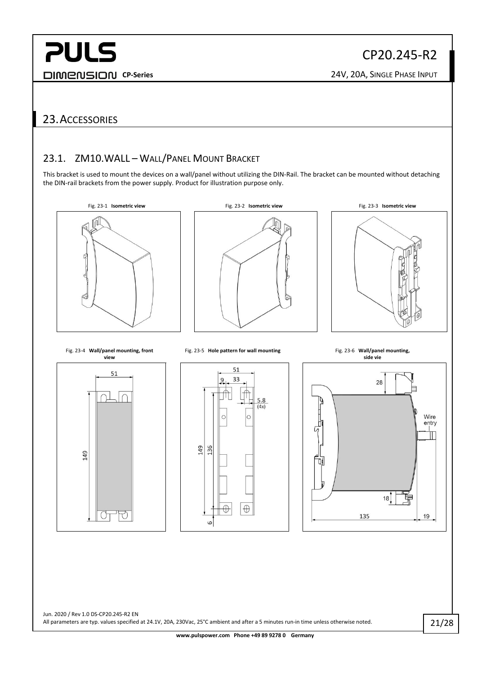#### <span id="page-20-1"></span><span id="page-20-0"></span>23.ACCESSORIES

#### 23.1. ZM10.WALL - WALL/PANEL MOUNT BRACKET

This bracket is used to mount the devices on a wall/panel without utilizing the DIN-Rail. The bracket can be mounted without detaching the DIN-rail brackets from the power supply. Product for illustration purpose only.

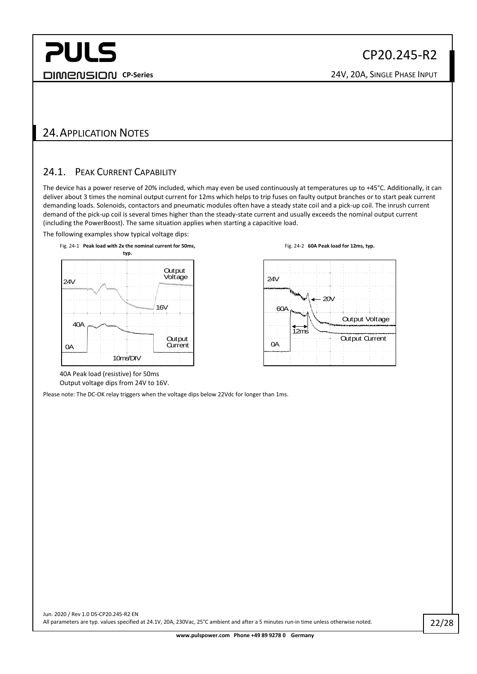#### <span id="page-21-1"></span><span id="page-21-0"></span>24.APPLICATION NOTES

#### 24.1. PEAK CURRENT CAPABILITY

The device has a power reserve of 20% included, which may even be used continuously at temperatures up to +45°C. Additionally, it can deliver about 3 times the nominal output current for 12ms which helps to trip fuses on faulty output branches or to start peak current demanding loads. Solenoids, contactors and pneumatic modules often have a steady state coil and a pick-up coil. The inrush current demand of the pick-up coil is several times higher than the steady-state current and usually exceeds the nominal output current (including the PowerBoost). The same situation applies when starting a capacitive load.

The following examples show typical voltage dips:





40A Peak load (resistive) for 50ms Output voltage dips from 24V to 16V.

<span id="page-21-2"></span>Please note: The DC-OK relay triggers when the voltage dips below 22Vdc for longer than 1ms.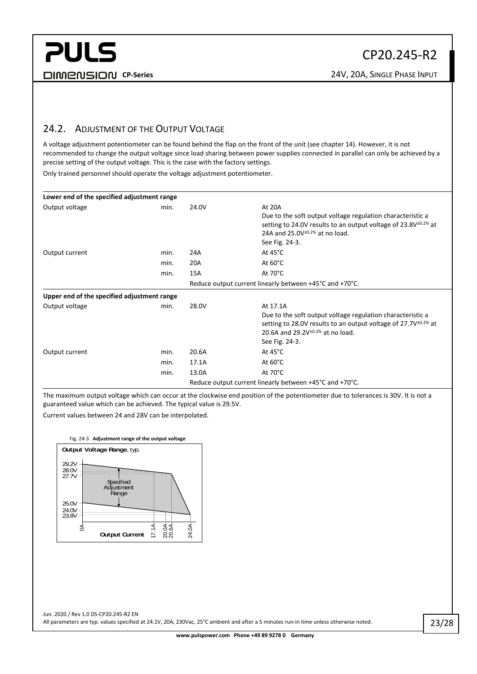#### CP20.245-R2

#### <span id="page-22-0"></span>24.2. ADJUSTMENT OF THE OUTPUT VOLTAGE

A voltage adjustment potentiometer can be found behind the flap on the front of the unit (see chapte[r 14\)](#page-12-0). However, it is not recommended to change the output voltage since load sharing between power supplies connected in parallel can only be achieved by a precise setting of the output voltage. This is the case with the factory settings.

Only trained personnel should operate the voltage adjustment potentiometer.

| Lower end of the specified adjustment range |      |                                                         |                                                                                                                                                                                                          |  |  |  |
|---------------------------------------------|------|---------------------------------------------------------|----------------------------------------------------------------------------------------------------------------------------------------------------------------------------------------------------------|--|--|--|
| Output voltage                              | min. | 24.0V                                                   | At 20A<br>Due to the soft output voltage regulation characteristic a<br>setting to 24.0V results to an output voltage of $23.8V^{\pm0.2\%}$ at<br>24A and 25.0V $\pm$ 0.2% at no load.<br>See Fig. 24-3. |  |  |  |
| Output current                              | min. | 24A                                                     | At $45^{\circ}$ C                                                                                                                                                                                        |  |  |  |
|                                             | min. | 20A                                                     | At $60^{\circ}$ C                                                                                                                                                                                        |  |  |  |
|                                             | min. | 15A                                                     | At $70^{\circ}$ C                                                                                                                                                                                        |  |  |  |
|                                             |      | Reduce output current linearly between +45°C and +70°C. |                                                                                                                                                                                                          |  |  |  |
| Upper end of the specified adjustment range |      |                                                         |                                                                                                                                                                                                          |  |  |  |
| Output voltage                              | min. | 28.0V                                                   | At 17.1A                                                                                                                                                                                                 |  |  |  |
|                                             |      |                                                         | Due to the soft output voltage regulation characteristic a<br>setting to 28.0V results to an output voltage of $27.7V^{\pm0.2\%}$ at<br>20.6A and $29.2V^{\pm0.2\%}$ at no load.<br>See Fig. 24-3.       |  |  |  |
| Output current                              | min. | 20.6A                                                   | At $45^{\circ}$ C                                                                                                                                                                                        |  |  |  |
|                                             | min. | 17.1A                                                   | At $60^{\circ}$ C                                                                                                                                                                                        |  |  |  |
|                                             | min. | 13.0A                                                   | At $70^{\circ}$ C                                                                                                                                                                                        |  |  |  |
|                                             |      | Reduce output current linearly between +45°C and +70°C. |                                                                                                                                                                                                          |  |  |  |

The maximum output voltage which can occur at the clockwise end position of the potentiometer due to tolerances is 30V. It is not a guaranteed value which can be achieved. The typical value is 29.5V.

Current values between 24 and 28V can be interpolated.

<span id="page-22-1"></span>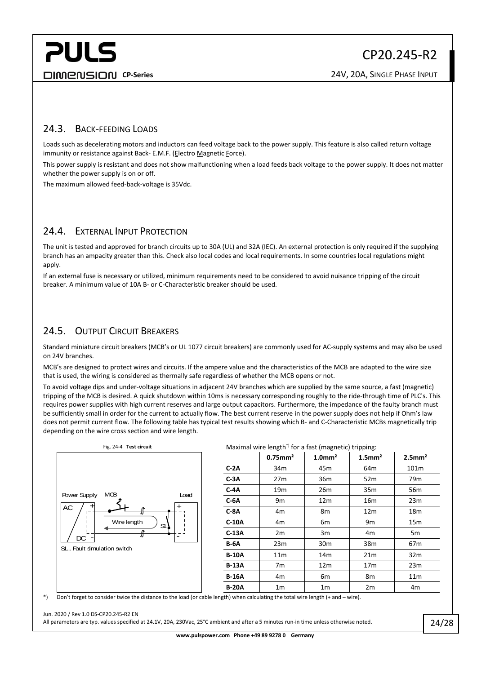#### CP20.245-R2

#### <span id="page-23-0"></span>24.3. BACK-FEEDING LOADS

Loads such as decelerating motors and inductors can feed voltage back to the power supply. This feature is also called return voltage immunity or resistance against Back- E.M.F. (Electro Magnetic Force).

This power supply is resistant and does not show malfunctioning when a load feeds back voltage to the power supply. It does not matter whether the power supply is on or off.

<span id="page-23-1"></span>The maximum allowed feed-back-voltage is 35Vdc.

#### 24.4. EXTERNAL INPUT PROTECTION

The unit is tested and approved for branch circuits up to 30A (UL) and 32A (IEC). An external protection is only required if the supplying branch has an ampacity greater than this. Check also local codes and local requirements. In some countries local regulations might apply.

If an external fuse is necessary or utilized, minimum requirements need to be considered to avoid nuisance tripping of the circuit breaker. A minimum value of 10A B- or C-Characteristic breaker should be used.

#### <span id="page-23-2"></span>24.5. OUTPUT CIRCUIT BREAKERS

Standard miniature circuit breakers (MCB's or UL 1077 circuit breakers) are commonly used for AC-supply systems and may also be used on 24V branches.

MCB's are designed to protect wires and circuits. If the ampere value and the characteristics of the MCB are adapted to the wire size that is used, the wiring is considered as thermally safe regardless of whether the MCB opens or not.

To avoid voltage dips and under-voltage situations in adjacent 24V branches which are supplied by the same source, a fast (magnetic) tripping of the MCB is desired. A quick shutdown within 10ms is necessary corresponding roughly to the ride-through time of PLC's. This requires power supplies with high current reserves and large output capacitors. Furthermore, the impedance of the faulty branch must be sufficiently small in order for the current to actually flow. The best current reserve in the power supply does not help if Ohm's law does not permit current flow. The following table has typical test results showing which B- and C-Characteristic MCBs magnetically trip depending on the wire cross section and wire length.



#### Fig. 24-4 **Test circuit** Maximal wire length\*) for a fast (magnetic) tripping:

|              | $0.75$ mm <sup>2</sup> | $1.0$ mm <sup>2</sup> | $1.5$ mm <sup>2</sup> | $2.5$ mm <sup>2</sup> |
|--------------|------------------------|-----------------------|-----------------------|-----------------------|
| $C-2A$       | 34 <sub>m</sub>        | 45m                   | 64 <sub>m</sub>       | 101m                  |
| $C-3A$       | 27m                    | 36 <sub>m</sub>       | 52m                   | 79 <sub>m</sub>       |
| $C-4A$       | 19 <sub>m</sub>        | 26 <sub>m</sub>       | 35 <sub>m</sub>       | 56 <sub>m</sub>       |
| $C-6A$       | 9m                     | 12 <sub>m</sub>       | 16 <sub>m</sub>       | 23m                   |
| $C-8A$       | 4m                     | 8m                    | 12 <sub>m</sub>       | 18m                   |
| $C-10A$      | 4m                     | 6m                    | 9 <sub>m</sub>        | 15 <sub>m</sub>       |
| $C-13A$      | 2m                     | 3m                    | 4m                    | 5m                    |
| <b>B-6A</b>  | 23m                    | 30 <sub>m</sub>       | 38m                   | 67 <sub>m</sub>       |
| <b>B-10A</b> | 11 <sub>m</sub>        | 14m                   | 21 <sub>m</sub>       | 32 <sub>m</sub>       |
| <b>B-13A</b> | 7m                     | 12 <sub>m</sub>       | 17 <sub>m</sub>       | 23m                   |
| <b>B-16A</b> | 4m                     | 6m                    | 8m                    | 11 <sub>m</sub>       |
| <b>B-20A</b> | 1 <sub>m</sub>         | 1 <sub>m</sub>        | 2m                    | 4 <sub>m</sub>        |

\*) Don't forget to consider twice the distance to the load (or cable length) when calculating the total wire length (+ and – wire).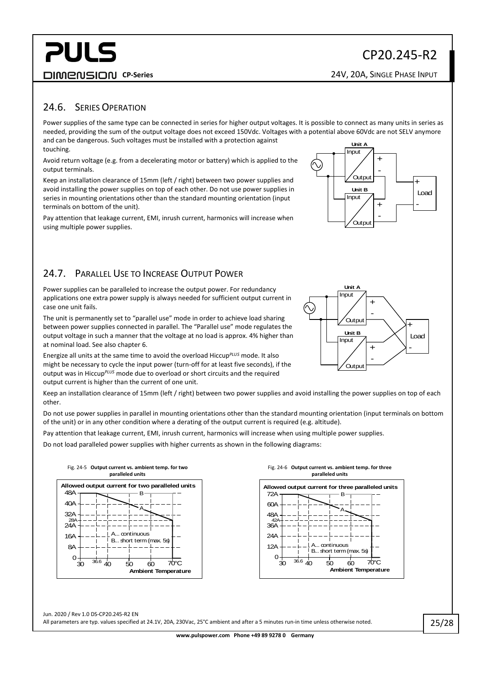#### CP20.245-R2

**CP-Series** 24V, 20A, SINGLE PHASE INPUT

#### <span id="page-24-0"></span>24.6. SERIES OPERATION

Power supplies of the same type can be connected in series for higher output voltages. It is possible to connect as many units in series as needed, providing the sum of the output voltage does not exceed 150Vdc. Voltages with a potential above 60Vdc are not SELV anymore and can be dangerous. Such voltages must be installed with a protection against touching. **Unit A** Input

Avoid return voltage (e.g. from a decelerating motor or battery) which is applied to the output terminals.

Keep an installation clearance of 15mm (left / right) between two power supplies and avoid installing the power supplies on top of each other. Do not use power supplies in series in mounting orientations other than the standard mounting orientation (input terminals on bottom of the unit).

Pay attention that leakage current, EMI, inrush current, harmonics will increase when using multiple power supplies.

<span id="page-24-1"></span>

Power supplies can be paralleled to increase the output power. For redundancy applications one extra power supply is always needed for sufficient output current in case one unit fails.

The unit is permanently set to "parallel use" mode in order to achieve load sharing between power supplies connected in parallel. The "Parallel use" mode regulates the output voltage in such a manner that the voltage at no load is approx. 4% higher than at nominal load. See also chapte[r 6.](#page-5-0)

Energize all units at the same time to avoid the overload Hiccup*PLUS* mode. It also might be necessary to cycle the input power (turn-off for at least five seconds), if the output was in Hiccup*PLUS* mode due to overload or short circuits and the required output current is higher than the current of one unit.

Keep an installation clearance of 15mm (left / right) between two power supplies and avoid installing the power supplies on top of each other.

Do not use power supplies in parallel in mounting orientations other than the standard mounting orientation (input terminals on bottom of the unit) or in any other condition where a derating of the output current is required (e.g. altitude).

Pay attention that leakage current, EMI, inrush current, harmonics will increase when using multiple power supplies.

Do not load paralleled power supplies with higher currents as shown in the following diagrams:

<span id="page-24-2"></span>

<span id="page-24-3"></span>





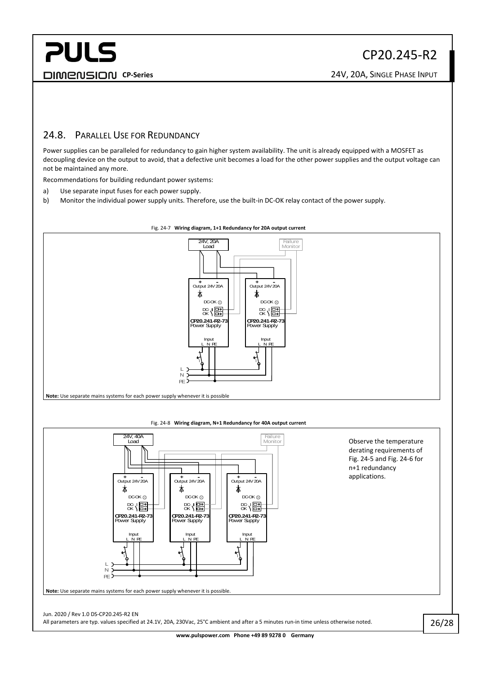#### <span id="page-25-0"></span>24.8. PARALLEL USE FOR REDUNDANCY

Power supplies can be paralleled for redundancy to gain higher system availability. The unit is already equipped with a MOSFET as decoupling device on the output to avoid, that a defective unit becomes a load for the other power supplies and the output voltage can not be maintained any more.

Recommendations for building redundant power systems:

- a) Use separate input fuses for each power supply.
- b) Monitor the individual power supply units. Therefore, use the built-in DC-OK relay contact of the power supply.



#### Fig. 24-7 **Wiring diagram, 1+1 Redundancy for 20A output current**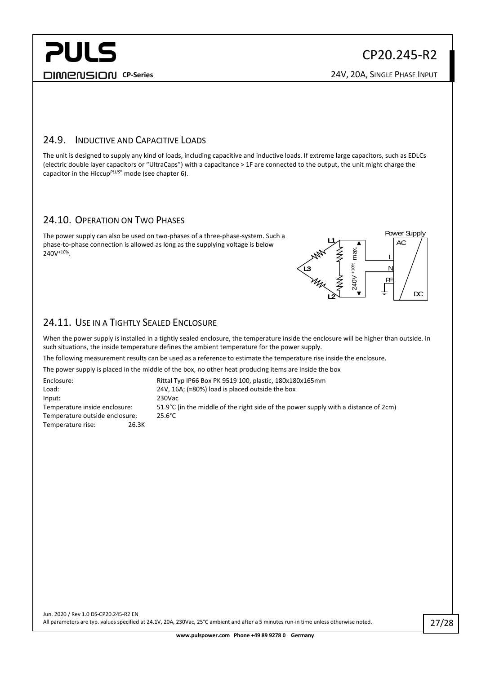#### CP20.245-R2

#### <span id="page-26-0"></span>24.9. INDUCTIVE AND CAPACITIVE LOADS

The unit is designed to supply any kind of loads, including capacitive and inductive loads. If extreme large capacitors, such as EDLCs (electric double layer capacitors or "UltraCaps") with a capacitance > 1F are connected to the output, the unit might charge the capacitor in the Hiccup*PLUS*® mode (see chapte[r 6\)](#page-5-0).

#### <span id="page-26-1"></span>24.10. OPERATION ON TWO PHASES

The power supply can also be used on two-phases of a three-phase-system. Such a phase-to-phase connection is allowed as long as the supplying voltage is below 240V+10%.



#### <span id="page-26-2"></span>24.11. USE IN A TIGHTLY SEALED ENCLOSURE

When the power supply is installed in a tightly sealed enclosure, the temperature inside the enclosure will be higher than outside. In such situations, the inside temperature defines the ambient temperature for the power supply.

The following measurement results can be used as a reference to estimate the temperature rise inside the enclosure.

The power supply is placed in the middle of the box, no other heat producing items are inside the box

Enclosure: Rittal Typ IP66 Box PK 9519 100, plastic, 180x180x165mm Load: 24V, 16A; (=80%) load is placed outside the box Input: 230Vac Temperature inside enclosure: 51.9°C (in the middle of the right side of the power supply with a distance of 2cm) Temperature outside enclosure: 25.6°C Temperature rise: 26.3K